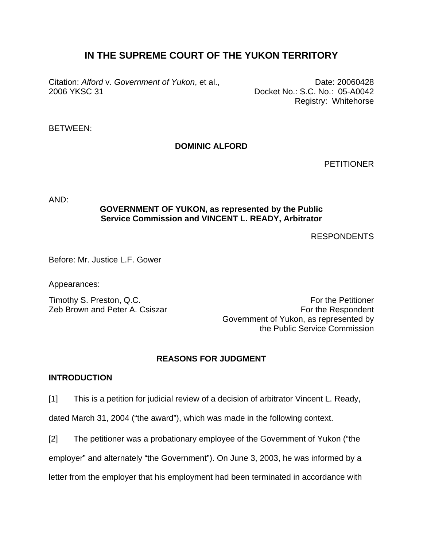# **IN THE SUPREME COURT OF THE YUKON TERRITORY**

Citation: *Alford* v. *Government of Yukon*, et al., 2006 YKSC 31

Date: 20060428 Docket No.: S.C. No.: 05-A0042 Registry: Whitehorse

# BETWEEN:

# **DOMINIC ALFORD**

**PETITIONER** 

AND:

# **GOVERNMENT OF YUKON, as represented by the Public Service Commission and VINCENT L. READY, Arbitrator**

RESPONDENTS

Before: Mr. Justice L.F. Gower

Appearances:

Timothy S. Preston, Q.C. Timothy S. Preston, Q.C. Zeb Brown and Peter A. Csiszar **For the Respondent** Government of Yukon, as represented by the Public Service Commission

# **REASONS FOR JUDGMENT**

## **INTRODUCTION**

[1] This is a petition for judicial review of a decision of arbitrator Vincent L. Ready,

dated March 31, 2004 ("the award"), which was made in the following context.

[2] The petitioner was a probationary employee of the Government of Yukon ("the

employer" and alternately "the Government"). On June 3, 2003, he was informed by a

letter from the employer that his employment had been terminated in accordance with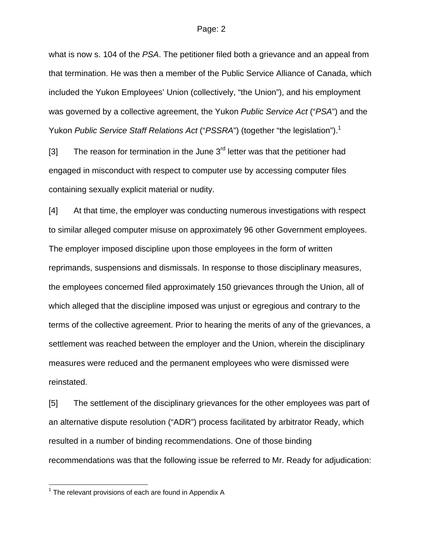what is now s. 104 of the *PSA*. The petitioner filed both a grievance and an appeal from that termination. He was then a member of the Public Service Alliance of Canada, which included the Yukon Employees' Union (collectively, "the Union"), and his employment was governed by a collective agreement, the Yukon *Public Service Act* ("*PSA*") and the Yukon *Public Service Staff Relations Act* ("*PSSRA*") (together "the legislation").<sup>1</sup>

[3] The reason for termination in the June  $3<sup>rd</sup>$  letter was that the petitioner had engaged in misconduct with respect to computer use by accessing computer files containing sexually explicit material or nudity.

[4] At that time, the employer was conducting numerous investigations with respect to similar alleged computer misuse on approximately 96 other Government employees. The employer imposed discipline upon those employees in the form of written reprimands, suspensions and dismissals. In response to those disciplinary measures, the employees concerned filed approximately 150 grievances through the Union, all of which alleged that the discipline imposed was unjust or egregious and contrary to the terms of the collective agreement. Prior to hearing the merits of any of the grievances, a settlement was reached between the employer and the Union, wherein the disciplinary measures were reduced and the permanent employees who were dismissed were reinstated.

[5] The settlement of the disciplinary grievances for the other employees was part of an alternative dispute resolution ("ADR") process facilitated by arbitrator Ready, which resulted in a number of binding recommendations. One of those binding recommendations was that the following issue be referred to Mr. Ready for adjudication:

l

 $1$  The relevant provisions of each are found in Appendix A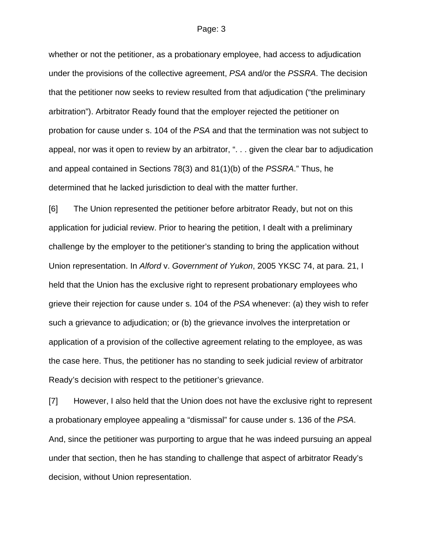whether or not the petitioner, as a probationary employee, had access to adjudication under the provisions of the collective agreement, *PSA* and/or the *PSSRA*. The decision that the petitioner now seeks to review resulted from that adjudication ("the preliminary arbitration"). Arbitrator Ready found that the employer rejected the petitioner on probation for cause under s. 104 of the *PSA* and that the termination was not subject to appeal, nor was it open to review by an arbitrator, ". . . given the clear bar to adjudication and appeal contained in Sections 78(3) and 81(1)(b) of the *PSSRA*." Thus, he determined that he lacked jurisdiction to deal with the matter further.

[6] The Union represented the petitioner before arbitrator Ready, but not on this application for judicial review. Prior to hearing the petition, I dealt with a preliminary challenge by the employer to the petitioner's standing to bring the application without Union representation. In *Alford* v. *Government of Yukon*, 2005 YKSC 74, at para. 21, I held that the Union has the exclusive right to represent probationary employees who grieve their rejection for cause under s. 104 of the *PSA* whenever: (a) they wish to refer such a grievance to adjudication; or (b) the grievance involves the interpretation or application of a provision of the collective agreement relating to the employee, as was the case here. Thus, the petitioner has no standing to seek judicial review of arbitrator Ready's decision with respect to the petitioner's grievance.

[7] However, I also held that the Union does not have the exclusive right to represent a probationary employee appealing a "dismissal" for cause under s. 136 of the *PSA*. And, since the petitioner was purporting to argue that he was indeed pursuing an appeal under that section, then he has standing to challenge that aspect of arbitrator Ready's decision, without Union representation.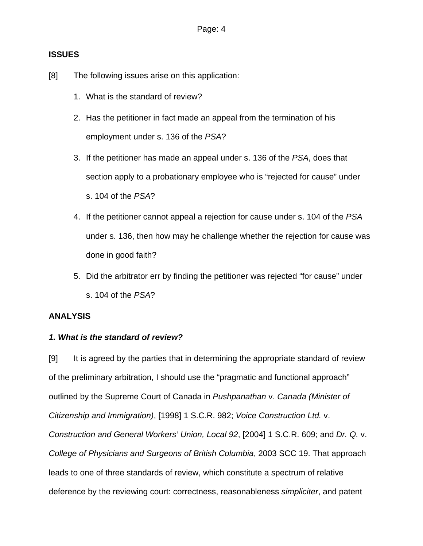# **ISSUES**

- [8] The following issues arise on this application:
	- 1. What is the standard of review?
	- 2. Has the petitioner in fact made an appeal from the termination of his employment under s. 136 of the *PSA*?
	- 3. If the petitioner has made an appeal under s. 136 of the *PSA*, does that section apply to a probationary employee who is "rejected for cause" under s. 104 of the *PSA*?
	- 4. If the petitioner cannot appeal a rejection for cause under s. 104 of the *PSA* under s. 136, then how may he challenge whether the rejection for cause was done in good faith?
	- 5. Did the arbitrator err by finding the petitioner was rejected "for cause" under s. 104 of the *PSA*?

# **ANALYSIS**

# *1. What is the standard of review?*

[9] It is agreed by the parties that in determining the appropriate standard of review of the preliminary arbitration, I should use the "pragmatic and functional approach" outlined by the Supreme Court of Canada in *Pushpanathan* v. *Canada (Minister of Citizenship and Immigration)*, [1998] 1 S.C.R. 982; *Voice Construction Ltd.* v. *Construction and General Workers' Union, Local 92*, [2004] 1 S.C.R. 609; and *Dr. Q.* v. *College of Physicians and Surgeons of British Columbia*, 2003 SCC 19. That approach leads to one of three standards of review, which constitute a spectrum of relative deference by the reviewing court: correctness, reasonableness *simpliciter*, and patent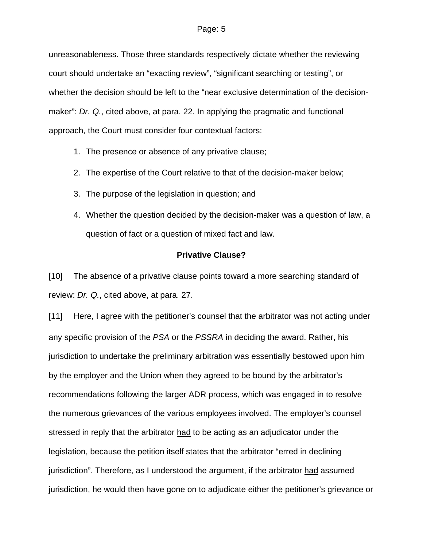unreasonableness. Those three standards respectively dictate whether the reviewing court should undertake an "exacting review", "significant searching or testing", or whether the decision should be left to the "near exclusive determination of the decisionmaker": *Dr. Q.*, cited above, at para. 22. In applying the pragmatic and functional approach, the Court must consider four contextual factors:

- 1. The presence or absence of any privative clause;
- 2. The expertise of the Court relative to that of the decision-maker below;
- 3. The purpose of the legislation in question; and
- 4. Whether the question decided by the decision-maker was a question of law, a question of fact or a question of mixed fact and law.

## **Privative Clause?**

[10] The absence of a privative clause points toward a more searching standard of review: *Dr. Q.*, cited above, at para. 27.

[11] Here, I agree with the petitioner's counsel that the arbitrator was not acting under any specific provision of the *PSA* or the *PSSRA* in deciding the award. Rather, his jurisdiction to undertake the preliminary arbitration was essentially bestowed upon him by the employer and the Union when they agreed to be bound by the arbitrator's recommendations following the larger ADR process, which was engaged in to resolve the numerous grievances of the various employees involved. The employer's counsel stressed in reply that the arbitrator had to be acting as an adjudicator under the legislation, because the petition itself states that the arbitrator "erred in declining jurisdiction". Therefore, as I understood the argument, if the arbitrator had assumed jurisdiction, he would then have gone on to adjudicate either the petitioner's grievance or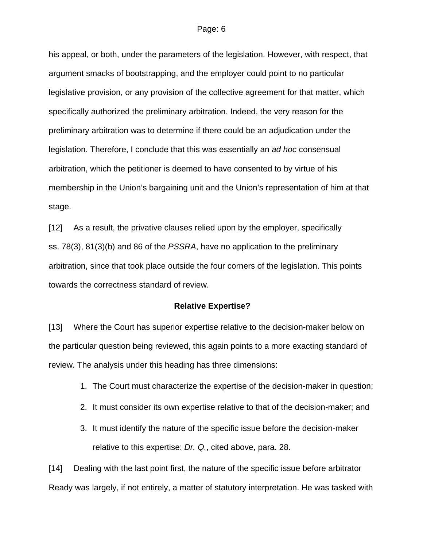his appeal, or both, under the parameters of the legislation. However, with respect, that argument smacks of bootstrapping, and the employer could point to no particular legislative provision, or any provision of the collective agreement for that matter, which specifically authorized the preliminary arbitration. Indeed, the very reason for the preliminary arbitration was to determine if there could be an adjudication under the legislation. Therefore, I conclude that this was essentially an *ad hoc* consensual arbitration, which the petitioner is deemed to have consented to by virtue of his membership in the Union's bargaining unit and the Union's representation of him at that stage.

[12] As a result, the privative clauses relied upon by the employer, specifically ss. 78(3), 81(3)(b) and 86 of the *PSSRA*, have no application to the preliminary arbitration, since that took place outside the four corners of the legislation. This points towards the correctness standard of review.

#### **Relative Expertise?**

[13] Where the Court has superior expertise relative to the decision-maker below on the particular question being reviewed, this again points to a more exacting standard of review. The analysis under this heading has three dimensions:

- 1. The Court must characterize the expertise of the decision-maker in question;
- 2. It must consider its own expertise relative to that of the decision-maker; and
- 3. It must identify the nature of the specific issue before the decision-maker relative to this expertise: *Dr. Q.*, cited above, para. 28.

[14] Dealing with the last point first, the nature of the specific issue before arbitrator Ready was largely, if not entirely, a matter of statutory interpretation. He was tasked with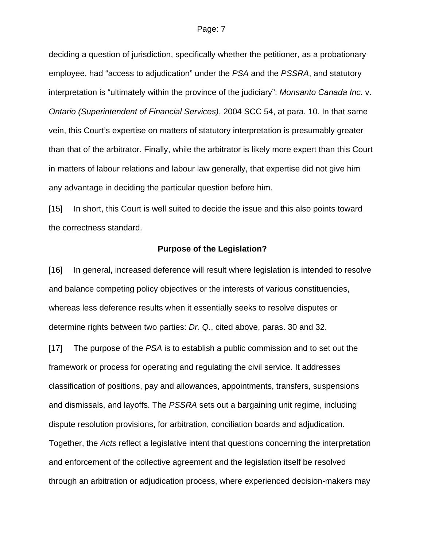deciding a question of jurisdiction, specifically whether the petitioner, as a probationary employee, had "access to adjudication" under the *PSA* and the *PSSRA*, and statutory interpretation is "ultimately within the province of the judiciary": *Monsanto Canada Inc.* v. *Ontario (Superintendent of Financial Services)*, 2004 SCC 54, at para. 10. In that same vein, this Court's expertise on matters of statutory interpretation is presumably greater than that of the arbitrator. Finally, while the arbitrator is likely more expert than this Court in matters of labour relations and labour law generally, that expertise did not give him any advantage in deciding the particular question before him.

[15] In short, this Court is well suited to decide the issue and this also points toward the correctness standard.

#### **Purpose of the Legislation?**

[16] In general, increased deference will result where legislation is intended to resolve and balance competing policy objectives or the interests of various constituencies, whereas less deference results when it essentially seeks to resolve disputes or determine rights between two parties: *Dr. Q.*, cited above, paras. 30 and 32.

[17] The purpose of the *PSA* is to establish a public commission and to set out the framework or process for operating and regulating the civil service. It addresses classification of positions, pay and allowances, appointments, transfers, suspensions and dismissals, and layoffs. The *PSSRA* sets out a bargaining unit regime, including dispute resolution provisions, for arbitration, conciliation boards and adjudication. Together, the *Acts* reflect a legislative intent that questions concerning the interpretation and enforcement of the collective agreement and the legislation itself be resolved through an arbitration or adjudication process, where experienced decision-makers may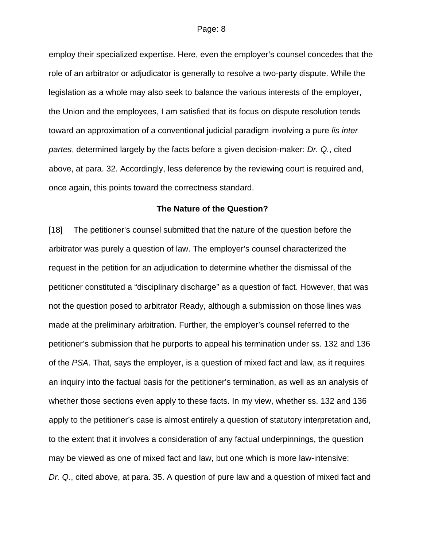employ their specialized expertise. Here, even the employer's counsel concedes that the role of an arbitrator or adjudicator is generally to resolve a two-party dispute. While the legislation as a whole may also seek to balance the various interests of the employer, the Union and the employees, I am satisfied that its focus on dispute resolution tends toward an approximation of a conventional judicial paradigm involving a pure *lis inter partes*, determined largely by the facts before a given decision-maker: *Dr. Q.*, cited above, at para. 32. Accordingly, less deference by the reviewing court is required and, once again, this points toward the correctness standard.

### **The Nature of the Question?**

[18] The petitioner's counsel submitted that the nature of the question before the arbitrator was purely a question of law. The employer's counsel characterized the request in the petition for an adjudication to determine whether the dismissal of the petitioner constituted a "disciplinary discharge" as a question of fact. However, that was not the question posed to arbitrator Ready, although a submission on those lines was made at the preliminary arbitration. Further, the employer's counsel referred to the petitioner's submission that he purports to appeal his termination under ss. 132 and 136 of the *PSA*. That, says the employer, is a question of mixed fact and law, as it requires an inquiry into the factual basis for the petitioner's termination, as well as an analysis of whether those sections even apply to these facts. In my view, whether ss. 132 and 136 apply to the petitioner's case is almost entirely a question of statutory interpretation and, to the extent that it involves a consideration of any factual underpinnings, the question may be viewed as one of mixed fact and law, but one which is more law-intensive: *Dr. Q.*, cited above, at para. 35. A question of pure law and a question of mixed fact and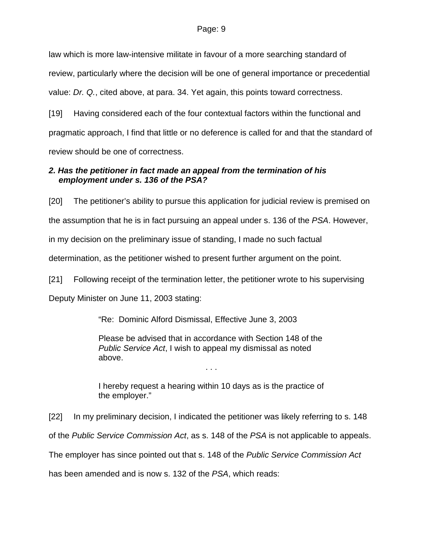law which is more law-intensive militate in favour of a more searching standard of review, particularly where the decision will be one of general importance or precedential value: *Dr. Q.*, cited above, at para. 34. Yet again, this points toward correctness.

[19] Having considered each of the four contextual factors within the functional and pragmatic approach, I find that little or no deference is called for and that the standard of review should be one of correctness.

# *2. Has the petitioner in fact made an appeal from the termination of his employment under s. 136 of the PSA?*

[20] The petitioner's ability to pursue this application for judicial review is premised on the assumption that he is in fact pursuing an appeal under s. 136 of the *PSA*. However, in my decision on the preliminary issue of standing, I made no such factual determination, as the petitioner wished to present further argument on the point.

[21] Following receipt of the termination letter, the petitioner wrote to his supervising

Deputy Minister on June 11, 2003 stating:

"Re: Dominic Alford Dismissal, Effective June 3, 2003

Please be advised that in accordance with Section 148 of the *Public Service Act*, I wish to appeal my dismissal as noted above.

. . .

I hereby request a hearing within 10 days as is the practice of the employer."

[22] In my preliminary decision, I indicated the petitioner was likely referring to s. 148 of the *Public Service Commission Act*, as s. 148 of the *PSA* is not applicable to appeals. The employer has since pointed out that s. 148 of the *Public Service Commission Act* has been amended and is now s. 132 of the *PSA*, which reads: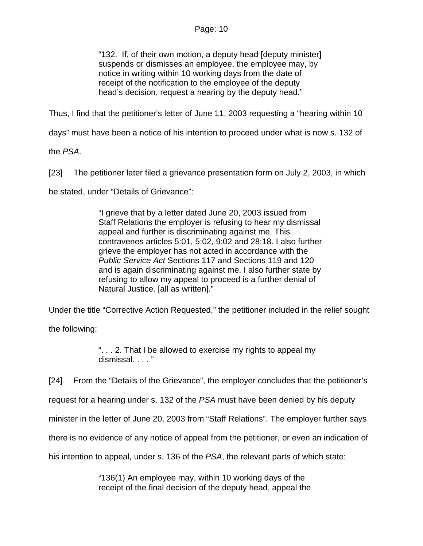"132. If, of their own motion, a deputy head [deputy minister] suspends or dismisses an employee, the employee may, by notice in writing within 10 working days from the date of receipt of the notification to the employee of the deputy head's decision, request a hearing by the deputy head."

Thus, I find that the petitioner's letter of June 11, 2003 requesting a "hearing within 10

days" must have been a notice of his intention to proceed under what is now s. 132 of

the *PSA*.

[23] The petitioner later filed a grievance presentation form on July 2, 2003, in which

he stated, under "Details of Grievance":

"I grieve that by a letter dated June 20, 2003 issued from Staff Relations the employer is refusing to hear my dismissal appeal and further is discriminating against me. This contravenes articles 5:01, 5:02, 9:02 and 28:18. I also further grieve the employer has not acted in accordance with the *Public Service Act* Sections 117 and Sections 119 and 120 and is again discriminating against me. I also further state by refusing to allow my appeal to proceed is a further denial of Natural Justice. [all as written]."

Under the title "Corrective Action Requested," the petitioner included in the relief sought

the following:

". . . 2. That I be allowed to exercise my rights to appeal my dismissal. . . . "

[24] From the "Details of the Grievance", the employer concludes that the petitioner's

request for a hearing under s. 132 of the *PSA* must have been denied by his deputy

minister in the letter of June 20, 2003 from "Staff Relations". The employer further says

there is no evidence of any notice of appeal from the petitioner, or even an indication of

his intention to appeal, under s. 136 of the *PSA*, the relevant parts of which state:

"136(1) An employee may, within 10 working days of the receipt of the final decision of the deputy head, appeal the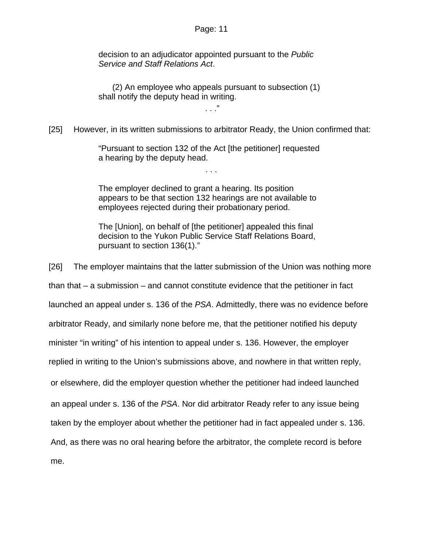decision to an adjudicator appointed pursuant to the *Public Service and Staff Relations Act*.

 (2) An employee who appeals pursuant to subsection (1) shall notify the deputy head in writing.

. . ."

[25] However, in its written submissions to arbitrator Ready, the Union confirmed that:

"Pursuant to section 132 of the Act [the petitioner] requested a hearing by the deputy head.

. . .

The employer declined to grant a hearing. Its position appears to be that section 132 hearings are not available to employees rejected during their probationary period.

The [Union], on behalf of [the petitioner] appealed this final decision to the Yukon Public Service Staff Relations Board, pursuant to section 136(1)."

[26] The employer maintains that the latter submission of the Union was nothing more than that – a submission – and cannot constitute evidence that the petitioner in fact launched an appeal under s. 136 of the *PSA*. Admittedly, there was no evidence before arbitrator Ready, and similarly none before me, that the petitioner notified his deputy minister "in writing" of his intention to appeal under s. 136. However, the employer replied in writing to the Union's submissions above, and nowhere in that written reply, or elsewhere, did the employer question whether the petitioner had indeed launched an appeal under s. 136 of the *PSA*. Nor did arbitrator Ready refer to any issue being taken by the employer about whether the petitioner had in fact appealed under s. 136. And, as there was no oral hearing before the arbitrator, the complete record is before me.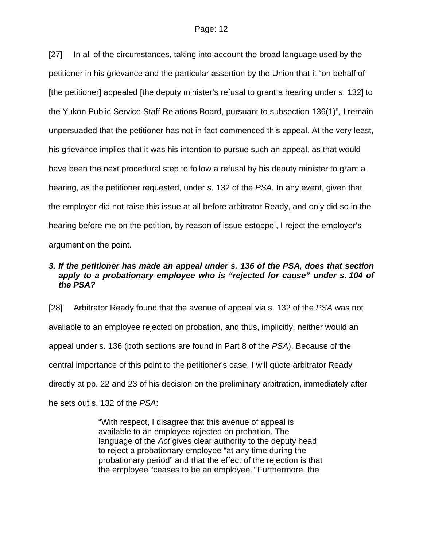[27] In all of the circumstances, taking into account the broad language used by the petitioner in his grievance and the particular assertion by the Union that it "on behalf of [the petitioner] appealed [the deputy minister's refusal to grant a hearing under s. 132] to the Yukon Public Service Staff Relations Board, pursuant to subsection 136(1)", I remain unpersuaded that the petitioner has not in fact commenced this appeal. At the very least, his grievance implies that it was his intention to pursue such an appeal, as that would have been the next procedural step to follow a refusal by his deputy minister to grant a hearing, as the petitioner requested, under s. 132 of the *PSA*. In any event, given that the employer did not raise this issue at all before arbitrator Ready, and only did so in the hearing before me on the petition, by reason of issue estoppel, I reject the employer's argument on the point.

# *3. If the petitioner has made an appeal under s. 136 of the PSA, does that section*  apply to a probationary employee who is "rejected for cause" under s. 104 of *the PSA?*

[28] Arbitrator Ready found that the avenue of appeal via s. 132 of the *PSA* was not available to an employee rejected on probation, and thus, implicitly, neither would an appeal under s. 136 (both sections are found in Part 8 of the *PSA*). Because of the central importance of this point to the petitioner's case, I will quote arbitrator Ready directly at pp. 22 and 23 of his decision on the preliminary arbitration, immediately after he sets out s. 132 of the *PSA*:

> "With respect, I disagree that this avenue of appeal is available to an employee rejected on probation. The language of the *Act* gives clear authority to the deputy head to reject a probationary employee "at any time during the probationary period" and that the effect of the rejection is that the employee "ceases to be an employee." Furthermore, the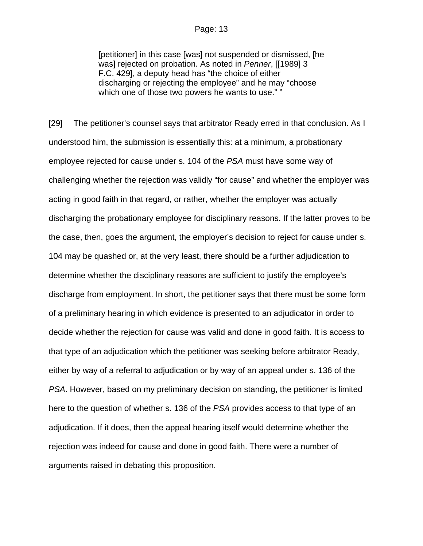[petitioner] in this case [was] not suspended or dismissed, [he was] rejected on probation. As noted in *Penner*, [[1989] 3 F.C. 429], a deputy head has "the choice of either discharging or rejecting the employee" and he may "choose which one of those two powers he wants to use." "

[29] The petitioner's counsel says that arbitrator Ready erred in that conclusion. As I understood him, the submission is essentially this: at a minimum, a probationary employee rejected for cause under s. 104 of the *PSA* must have some way of challenging whether the rejection was validly "for cause" and whether the employer was acting in good faith in that regard, or rather, whether the employer was actually discharging the probationary employee for disciplinary reasons. If the latter proves to be the case, then, goes the argument, the employer's decision to reject for cause under s. 104 may be quashed or, at the very least, there should be a further adjudication to determine whether the disciplinary reasons are sufficient to justify the employee's discharge from employment. In short, the petitioner says that there must be some form of a preliminary hearing in which evidence is presented to an adjudicator in order to decide whether the rejection for cause was valid and done in good faith. It is access to that type of an adjudication which the petitioner was seeking before arbitrator Ready, either by way of a referral to adjudication or by way of an appeal under s. 136 of the *PSA*. However, based on my preliminary decision on standing, the petitioner is limited here to the question of whether s. 136 of the *PSA* provides access to that type of an adjudication. If it does, then the appeal hearing itself would determine whether the rejection was indeed for cause and done in good faith. There were a number of arguments raised in debating this proposition.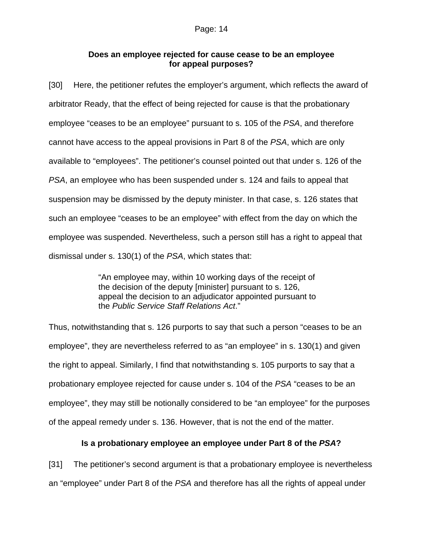## **Does an employee rejected for cause cease to be an employee for appeal purposes?**

[30] Here, the petitioner refutes the employer's argument, which reflects the award of arbitrator Ready, that the effect of being rejected for cause is that the probationary employee "ceases to be an employee" pursuant to s. 105 of the *PSA*, and therefore cannot have access to the appeal provisions in Part 8 of the *PSA*, which are only available to "employees". The petitioner's counsel pointed out that under s. 126 of the *PSA*, an employee who has been suspended under s. 124 and fails to appeal that suspension may be dismissed by the deputy minister. In that case, s. 126 states that such an employee "ceases to be an employee" with effect from the day on which the employee was suspended. Nevertheless, such a person still has a right to appeal that dismissal under s. 130(1) of the *PSA*, which states that:

> "An employee may, within 10 working days of the receipt of the decision of the deputy [minister] pursuant to s. 126, appeal the decision to an adjudicator appointed pursuant to the *Public Service Staff Relations Act*."

Thus, notwithstanding that s. 126 purports to say that such a person "ceases to be an employee", they are nevertheless referred to as "an employee" in s. 130(1) and given the right to appeal. Similarly, I find that notwithstanding s. 105 purports to say that a probationary employee rejected for cause under s. 104 of the *PSA* "ceases to be an employee", they may still be notionally considered to be "an employee" for the purposes of the appeal remedy under s. 136. However, that is not the end of the matter.

# **Is a probationary employee an employee under Part 8 of the** *PSA***?**

[31] The petitioner's second argument is that a probationary employee is nevertheless an "employee" under Part 8 of the *PSA* and therefore has all the rights of appeal under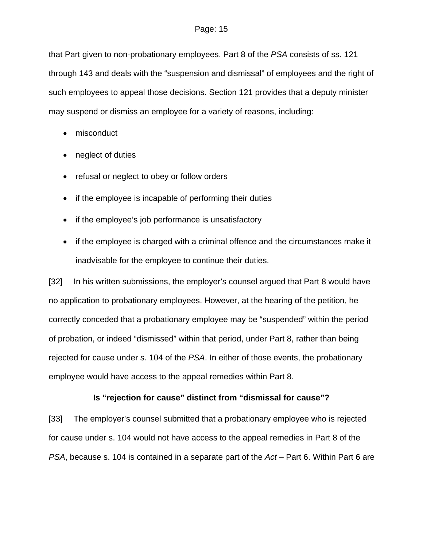that Part given to non-probationary employees. Part 8 of the *PSA* consists of ss. 121 through 143 and deals with the "suspension and dismissal" of employees and the right of such employees to appeal those decisions. Section 121 provides that a deputy minister may suspend or dismiss an employee for a variety of reasons, including:

- misconduct
- neglect of duties
- refusal or neglect to obey or follow orders
- if the employee is incapable of performing their duties
- if the employee's job performance is unsatisfactory
- if the employee is charged with a criminal offence and the circumstances make it inadvisable for the employee to continue their duties.

[32] In his written submissions, the employer's counsel argued that Part 8 would have no application to probationary employees. However, at the hearing of the petition, he correctly conceded that a probationary employee may be "suspended" within the period of probation, or indeed "dismissed" within that period, under Part 8, rather than being rejected for cause under s. 104 of the *PSA*. In either of those events, the probationary employee would have access to the appeal remedies within Part 8.

# **Is "rejection for cause" distinct from "dismissal for cause"?**

[33] The employer's counsel submitted that a probationary employee who is rejected for cause under s. 104 would not have access to the appeal remedies in Part 8 of the *PSA*, because s. 104 is contained in a separate part of the *Act* – Part 6. Within Part 6 are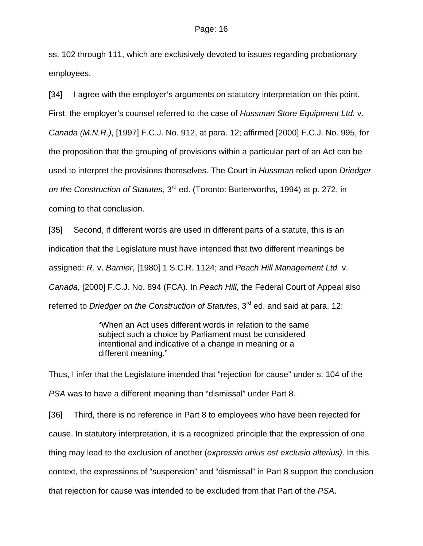ss. 102 through 111, which are exclusively devoted to issues regarding probationary employees.

[34] I agree with the employer's arguments on statutory interpretation on this point. First, the employer's counsel referred to the case of *Hussman Store Equipment Ltd.* v. *Canada (M.N.R.)*, [1997] F.C.J. No. 912, at para. 12; affirmed [2000] F.C.J. No. 995, for the proposition that the grouping of provisions within a particular part of an Act can be used to interpret the provisions themselves. The Court in *Hussman* relied upon *Driedger on the Construction of Statutes*, 3rd ed. (Toronto: Butterworths, 1994) at p. 272, in coming to that conclusion.

[35] Second, if different words are used in different parts of a statute, this is an indication that the Legislature must have intended that two different meanings be assigned: *R.* v. *Barnier*, [1980] 1 S.C.R. 1124; and *Peach Hill Management Ltd.* v. *Canada*, [2000] F.C.J. No. 894 (FCA). In *Peach Hill*, the Federal Court of Appeal also referred to *Driedger on the Construction of Statutes*, 3<sup>rd</sup> ed. and said at para. 12:

> "When an Act uses different words in relation to the same subject such a choice by Parliament must be considered intentional and indicative of a change in meaning or a different meaning."

Thus, I infer that the Legislature intended that "rejection for cause" under s. 104 of the *PSA* was to have a different meaning than "dismissal" under Part 8.

[36] Third, there is no reference in Part 8 to employees who have been rejected for cause. In statutory interpretation, it is a recognized principle that the expression of one thing may lead to the exclusion of another (*expressio unius est exclusio alterius)*. In this context, the expressions of "suspension" and "dismissal" in Part 8 support the conclusion that rejection for cause was intended to be excluded from that Part of the *PSA*.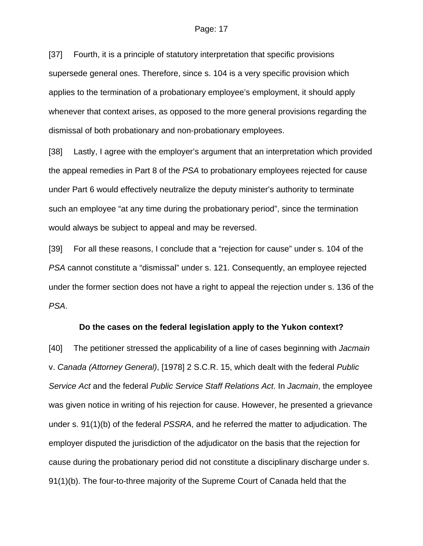[37] Fourth, it is a principle of statutory interpretation that specific provisions supersede general ones. Therefore, since s. 104 is a very specific provision which applies to the termination of a probationary employee's employment, it should apply whenever that context arises, as opposed to the more general provisions regarding the dismissal of both probationary and non-probationary employees.

[38] Lastly, I agree with the employer's argument that an interpretation which provided the appeal remedies in Part 8 of the *PSA* to probationary employees rejected for cause under Part 6 would effectively neutralize the deputy minister's authority to terminate such an employee "at any time during the probationary period", since the termination would always be subject to appeal and may be reversed.

[39] For all these reasons, I conclude that a "rejection for cause" under s. 104 of the *PSA* cannot constitute a "dismissal" under s. 121. Consequently, an employee rejected under the former section does not have a right to appeal the rejection under s. 136 of the *PSA*.

## **Do the cases on the federal legislation apply to the Yukon context?**

[40] The petitioner stressed the applicability of a line of cases beginning with *Jacmain* v. *Canada (Attorney General)*, [1978] 2 S.C.R. 15, which dealt with the federal *Public Service Act* and the federal *Public Service Staff Relations Act*. In *Jacmain*, the employee was given notice in writing of his rejection for cause. However, he presented a grievance under s. 91(1)(b) of the federal *PSSRA*, and he referred the matter to adjudication. The employer disputed the jurisdiction of the adjudicator on the basis that the rejection for cause during the probationary period did not constitute a disciplinary discharge under s. 91(1)(b). The four-to-three majority of the Supreme Court of Canada held that the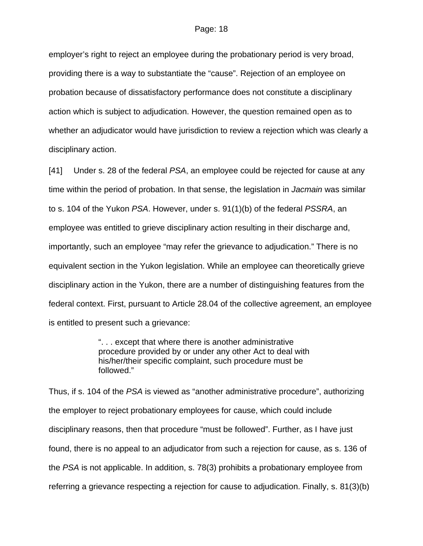employer's right to reject an employee during the probationary period is very broad, providing there is a way to substantiate the "cause". Rejection of an employee on probation because of dissatisfactory performance does not constitute a disciplinary action which is subject to adjudication. However, the question remained open as to whether an adjudicator would have jurisdiction to review a rejection which was clearly a disciplinary action.

[41] Under s. 28 of the federal *PSA*, an employee could be rejected for cause at any time within the period of probation. In that sense, the legislation in *Jacmain* was similar to s. 104 of the Yukon *PSA*. However, under s. 91(1)(b) of the federal *PSSRA*, an employee was entitled to grieve disciplinary action resulting in their discharge and, importantly, such an employee "may refer the grievance to adjudication." There is no equivalent section in the Yukon legislation. While an employee can theoretically grieve disciplinary action in the Yukon, there are a number of distinguishing features from the federal context. First, pursuant to Article 28.04 of the collective agreement, an employee is entitled to present such a grievance:

> ". . . except that where there is another administrative procedure provided by or under any other Act to deal with his/her/their specific complaint, such procedure must be followed."

Thus, if s. 104 of the *PSA* is viewed as "another administrative procedure", authorizing the employer to reject probationary employees for cause, which could include disciplinary reasons, then that procedure "must be followed". Further, as I have just found, there is no appeal to an adjudicator from such a rejection for cause, as s. 136 of the *PSA* is not applicable. In addition, s. 78(3) prohibits a probationary employee from referring a grievance respecting a rejection for cause to adjudication. Finally, s. 81(3)(b)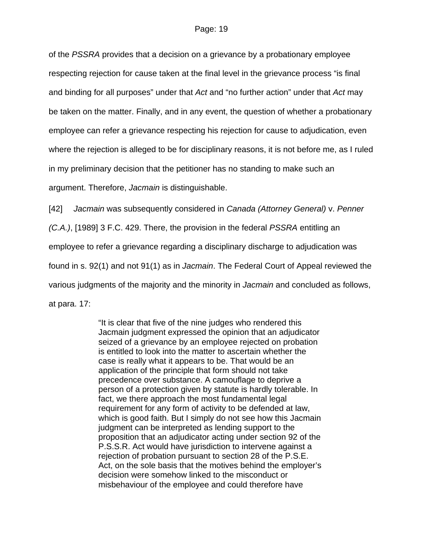of the *PSSRA* provides that a decision on a grievance by a probationary employee respecting rejection for cause taken at the final level in the grievance process "is final and binding for all purposes" under that *Act* and "no further action" under that *Act* may be taken on the matter. Finally, and in any event, the question of whether a probationary employee can refer a grievance respecting his rejection for cause to adjudication, even where the rejection is alleged to be for disciplinary reasons, it is not before me, as I ruled in my preliminary decision that the petitioner has no standing to make such an argument. Therefore, *Jacmain* is distinguishable.

[42] *Jacmain* was subsequently considered in *Canada (Attorney General)* v. *Penner (C.A.)*, [1989] 3 F.C. 429. There, the provision in the federal *PSSRA* entitling an employee to refer a grievance regarding a disciplinary discharge to adjudication was found in s. 92(1) and not 91(1) as in *Jacmain*. The Federal Court of Appeal reviewed the various judgments of the majority and the minority in *Jacmain* and concluded as follows, at para. 17:

> "It is clear that five of the nine judges who rendered this Jacmain judgment expressed the opinion that an adjudicator seized of a grievance by an employee rejected on probation is entitled to look into the matter to ascertain whether the case is really what it appears to be. That would be an application of the principle that form should not take precedence over substance. A camouflage to deprive a person of a protection given by statute is hardly tolerable. In fact, we there approach the most fundamental legal requirement for any form of activity to be defended at law, which is good faith. But I simply do not see how this Jacmain judgment can be interpreted as lending support to the proposition that an adjudicator acting under section 92 of the P.S.S.R. Act would have jurisdiction to intervene against a rejection of probation pursuant to section 28 of the P.S.E. Act, on the sole basis that the motives behind the employer's decision were somehow linked to the misconduct or misbehaviour of the employee and could therefore have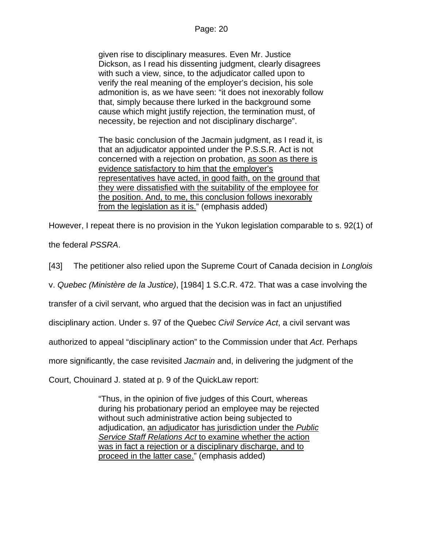given rise to disciplinary measures. Even Mr. Justice Dickson, as I read his dissenting judgment, clearly disagrees with such a view, since, to the adjudicator called upon to verify the real meaning of the employer's decision, his sole admonition is, as we have seen: "it does not inexorably follow that, simply because there lurked in the background some cause which might justify rejection, the termination must, of necessity, be rejection and not disciplinary discharge".

The basic conclusion of the Jacmain judgment, as I read it, is that an adjudicator appointed under the P.S.S.R. Act is not concerned with a rejection on probation, as soon as there is evidence satisfactory to him that the employer's representatives have acted, in good faith, on the ground that they were dissatisfied with the suitability of the employee for the position. And, to me, this conclusion follows inexorably from the legislation as it is." (emphasis added)

However, I repeat there is no provision in the Yukon legislation comparable to s. 92(1) of the federal *PSSRA*.

[43] The petitioner also relied upon the Supreme Court of Canada decision in *Longlois* 

v. *Quebec (Ministère de la Justice)*, [1984] 1 S.C.R. 472. That was a case involving the

transfer of a civil servant, who argued that the decision was in fact an unjustified

disciplinary action. Under s. 97 of the Quebec *Civil Service Act*, a civil servant was

authorized to appeal "disciplinary action" to the Commission under that *Act*. Perhaps

more significantly, the case revisited *Jacmain* and, in delivering the judgment of the

Court, Chouinard J. stated at p. 9 of the QuickLaw report:

"Thus, in the opinion of five judges of this Court, whereas during his probationary period an employee may be rejected without such administrative action being subjected to adjudication, an adjudicator has jurisdiction under the *Public Service Staff Relations Act* to examine whether the action was in fact a rejection or a disciplinary discharge, and to proceed in the latter case." (emphasis added)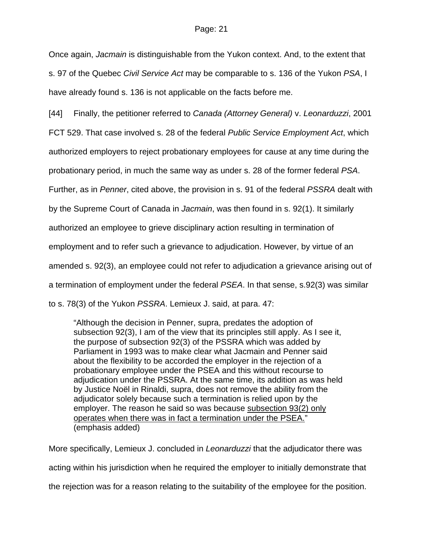Once again, *Jacmain* is distinguishable from the Yukon context. And, to the extent that s. 97 of the Quebec *Civil Service Act* may be comparable to s. 136 of the Yukon *PSA*, I have already found s. 136 is not applicable on the facts before me.

[44] Finally, the petitioner referred to *Canada (Attorney General)* v. *Leonarduzzi*, 2001

FCT 529. That case involved s. 28 of the federal *Public Service Employment Act*, which

authorized employers to reject probationary employees for cause at any time during the

probationary period, in much the same way as under s. 28 of the former federal *PSA*.

Further, as in *Penner*, cited above, the provision in s. 91 of the federal *PSSRA* dealt with

by the Supreme Court of Canada in *Jacmain*, was then found in s. 92(1). It similarly

authorized an employee to grieve disciplinary action resulting in termination of

employment and to refer such a grievance to adjudication. However, by virtue of an

amended s. 92(3), an employee could not refer to adjudication a grievance arising out of

a termination of employment under the federal *PSEA*. In that sense, s.92(3) was similar

to s. 78(3) of the Yukon *PSSRA*. Lemieux J. said, at para. 47:

"Although the decision in Penner, supra, predates the adoption of subsection 92(3), I am of the view that its principles still apply. As I see it, the purpose of subsection 92(3) of the PSSRA which was added by Parliament in 1993 was to make clear what Jacmain and Penner said about the flexibility to be accorded the employer in the rejection of a probationary employee under the PSEA and this without recourse to adjudication under the PSSRA. At the same time, its addition as was held by Justice Noël in Rinaldi, supra, does not remove the ability from the adjudicator solely because such a termination is relied upon by the employer. The reason he said so was because subsection 93(2) only operates when there was in fact a termination under the PSEA." (emphasis added)

More specifically, Lemieux J. concluded in *Leonarduzzi* that the adjudicator there was acting within his jurisdiction when he required the employer to initially demonstrate that the rejection was for a reason relating to the suitability of the employee for the position.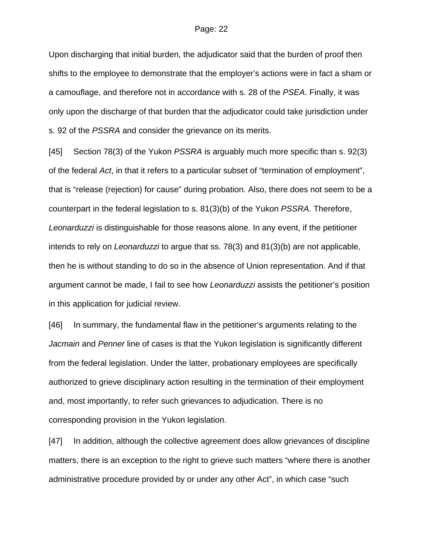Upon discharging that initial burden, the adjudicator said that the burden of proof then shifts to the employee to demonstrate that the employer's actions were in fact a sham or a camouflage, and therefore not in accordance with s. 28 of the *PSEA*. Finally, it was only upon the discharge of that burden that the adjudicator could take jurisdiction under s. 92 of the *PSSRA* and consider the grievance on its merits.

[45] Section 78(3) of the Yukon *PSSRA* is arguably much more specific than s. 92(3) of the federal *Act*, in that it refers to a particular subset of "termination of employment", that is "release (rejection) for cause" during probation. Also, there does not seem to be a counterpart in the federal legislation to s. 81(3)(b) of the Yukon *PSSRA*. Therefore, *Leonarduzzi* is distinguishable for those reasons alone. In any event, if the petitioner intends to rely on *Leonarduzzi* to argue that ss. 78(3) and 81(3)(b) are not applicable, then he is without standing to do so in the absence of Union representation. And if that argument cannot be made, I fail to see how *Leonarduzzi* assists the petitioner's position in this application for judicial review.

[46] In summary, the fundamental flaw in the petitioner's arguments relating to the *Jacmain* and *Penner* line of cases is that the Yukon legislation is significantly different from the federal legislation. Under the latter, probationary employees are specifically authorized to grieve disciplinary action resulting in the termination of their employment and, most importantly, to refer such grievances to adjudication. There is no corresponding provision in the Yukon legislation.

[47] In addition, although the collective agreement does allow grievances of discipline matters, there is an exception to the right to grieve such matters "where there is another administrative procedure provided by or under any other Act", in which case "such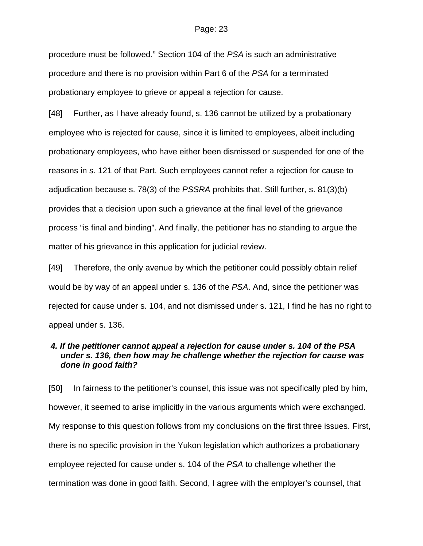procedure must be followed." Section 104 of the *PSA* is such an administrative procedure and there is no provision within Part 6 of the *PSA* for a terminated probationary employee to grieve or appeal a rejection for cause.

[48] Further, as I have already found, s. 136 cannot be utilized by a probationary employee who is rejected for cause, since it is limited to employees, albeit including probationary employees, who have either been dismissed or suspended for one of the reasons in s. 121 of that Part. Such employees cannot refer a rejection for cause to adjudication because s. 78(3) of the *PSSRA* prohibits that. Still further, s. 81(3)(b) provides that a decision upon such a grievance at the final level of the grievance process "is final and binding". And finally, the petitioner has no standing to argue the matter of his grievance in this application for judicial review.

[49] Therefore, the only avenue by which the petitioner could possibly obtain relief would be by way of an appeal under s. 136 of the *PSA*. And, since the petitioner was rejected for cause under s. 104, and not dismissed under s. 121, I find he has no right to appeal under s. 136.

# *4. If the petitioner cannot appeal a rejection for cause under s. 104 of the PSA under s. 136, then how may he challenge whether the rejection for cause was done in good faith?*

[50] In fairness to the petitioner's counsel, this issue was not specifically pled by him, however, it seemed to arise implicitly in the various arguments which were exchanged. My response to this question follows from my conclusions on the first three issues. First, there is no specific provision in the Yukon legislation which authorizes a probationary employee rejected for cause under s. 104 of the *PSA* to challenge whether the termination was done in good faith. Second, I agree with the employer's counsel, that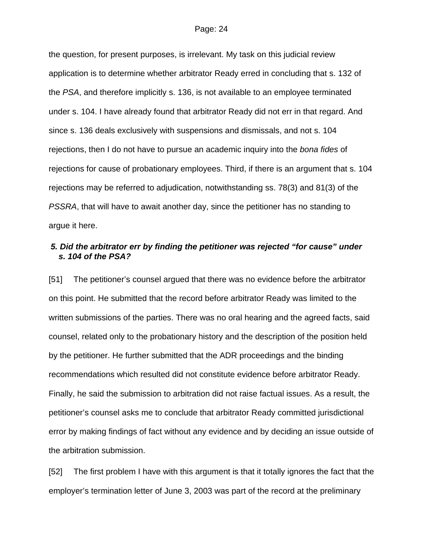the question, for present purposes, is irrelevant. My task on this judicial review application is to determine whether arbitrator Ready erred in concluding that s. 132 of the *PSA*, and therefore implicitly s. 136, is not available to an employee terminated under s. 104. I have already found that arbitrator Ready did not err in that regard. And since s. 136 deals exclusively with suspensions and dismissals, and not s. 104 rejections, then I do not have to pursue an academic inquiry into the *bona fides* of rejections for cause of probationary employees. Third, if there is an argument that s. 104 rejections may be referred to adjudication, notwithstanding ss. 78(3) and 81(3) of the *PSSRA*, that will have to await another day, since the petitioner has no standing to argue it here.

# *5. Did the arbitrator err by finding the petitioner was rejected "for cause" under s. 104 of the PSA?*

[51] The petitioner's counsel argued that there was no evidence before the arbitrator on this point. He submitted that the record before arbitrator Ready was limited to the written submissions of the parties. There was no oral hearing and the agreed facts, said counsel, related only to the probationary history and the description of the position held by the petitioner. He further submitted that the ADR proceedings and the binding recommendations which resulted did not constitute evidence before arbitrator Ready. Finally, he said the submission to arbitration did not raise factual issues. As a result, the petitioner's counsel asks me to conclude that arbitrator Ready committed jurisdictional error by making findings of fact without any evidence and by deciding an issue outside of the arbitration submission.

[52] The first problem I have with this argument is that it totally ignores the fact that the employer's termination letter of June 3, 2003 was part of the record at the preliminary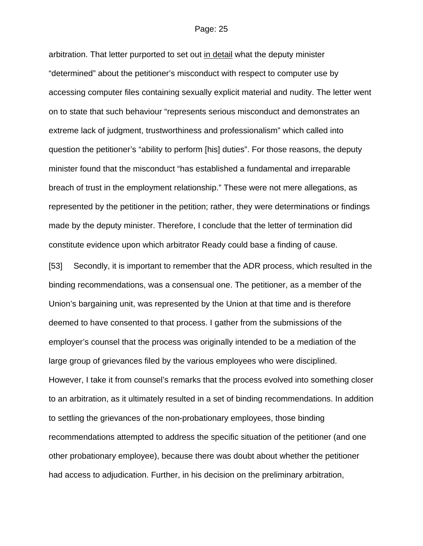arbitration. That letter purported to set out in detail what the deputy minister "determined" about the petitioner's misconduct with respect to computer use by accessing computer files containing sexually explicit material and nudity. The letter went on to state that such behaviour "represents serious misconduct and demonstrates an extreme lack of judgment, trustworthiness and professionalism" which called into question the petitioner's "ability to perform [his] duties". For those reasons, the deputy minister found that the misconduct "has established a fundamental and irreparable breach of trust in the employment relationship." These were not mere allegations, as represented by the petitioner in the petition; rather, they were determinations or findings made by the deputy minister. Therefore, I conclude that the letter of termination did constitute evidence upon which arbitrator Ready could base a finding of cause.

[53] Secondly, it is important to remember that the ADR process, which resulted in the binding recommendations, was a consensual one. The petitioner, as a member of the Union's bargaining unit, was represented by the Union at that time and is therefore deemed to have consented to that process. I gather from the submissions of the employer's counsel that the process was originally intended to be a mediation of the large group of grievances filed by the various employees who were disciplined. However, I take it from counsel's remarks that the process evolved into something closer to an arbitration, as it ultimately resulted in a set of binding recommendations. In addition to settling the grievances of the non-probationary employees, those binding recommendations attempted to address the specific situation of the petitioner (and one other probationary employee), because there was doubt about whether the petitioner had access to adjudication. Further, in his decision on the preliminary arbitration,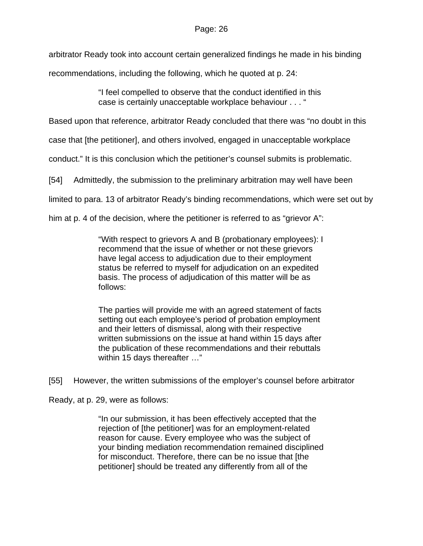arbitrator Ready took into account certain generalized findings he made in his binding

recommendations, including the following, which he quoted at p. 24:

"I feel compelled to observe that the conduct identified in this case is certainly unacceptable workplace behaviour . . . "

Based upon that reference, arbitrator Ready concluded that there was "no doubt in this

case that [the petitioner], and others involved, engaged in unacceptable workplace

conduct." It is this conclusion which the petitioner's counsel submits is problematic.

[54] Admittedly, the submission to the preliminary arbitration may well have been

limited to para. 13 of arbitrator Ready's binding recommendations, which were set out by

him at p. 4 of the decision, where the petitioner is referred to as "grievor A":

"With respect to grievors A and B (probationary employees): I recommend that the issue of whether or not these grievors have legal access to adjudication due to their employment status be referred to myself for adjudication on an expedited basis. The process of adjudication of this matter will be as follows:

The parties will provide me with an agreed statement of facts setting out each employee's period of probation employment and their letters of dismissal, along with their respective written submissions on the issue at hand within 15 days after the publication of these recommendations and their rebuttals within 15 days thereafter …"

[55] However, the written submissions of the employer's counsel before arbitrator

Ready, at p. 29, were as follows:

"In our submission, it has been effectively accepted that the rejection of [the petitioner] was for an employment-related reason for cause. Every employee who was the subject of your binding mediation recommendation remained disciplined for misconduct. Therefore, there can be no issue that [the petitioner] should be treated any differently from all of the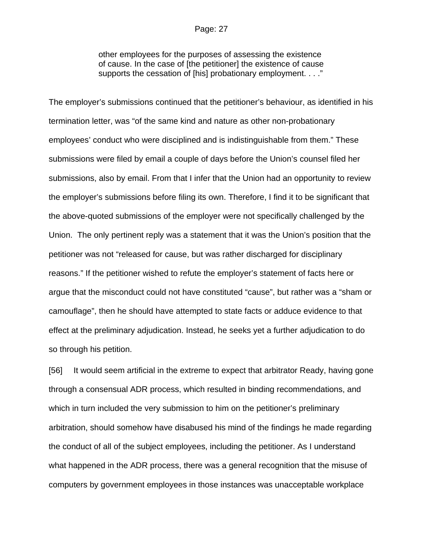other employees for the purposes of assessing the existence of cause. In the case of [the petitioner] the existence of cause supports the cessation of [his] probationary employment. . . ."

The employer's submissions continued that the petitioner's behaviour, as identified in his termination letter, was "of the same kind and nature as other non-probationary employees' conduct who were disciplined and is indistinguishable from them." These submissions were filed by email a couple of days before the Union's counsel filed her submissions, also by email. From that I infer that the Union had an opportunity to review the employer's submissions before filing its own. Therefore, I find it to be significant that the above-quoted submissions of the employer were not specifically challenged by the Union. The only pertinent reply was a statement that it was the Union's position that the petitioner was not "released for cause, but was rather discharged for disciplinary reasons." If the petitioner wished to refute the employer's statement of facts here or argue that the misconduct could not have constituted "cause", but rather was a "sham or camouflage", then he should have attempted to state facts or adduce evidence to that effect at the preliminary adjudication. Instead, he seeks yet a further adjudication to do so through his petition.

[56] It would seem artificial in the extreme to expect that arbitrator Ready, having gone through a consensual ADR process, which resulted in binding recommendations, and which in turn included the very submission to him on the petitioner's preliminary arbitration, should somehow have disabused his mind of the findings he made regarding the conduct of all of the subject employees, including the petitioner. As I understand what happened in the ADR process, there was a general recognition that the misuse of computers by government employees in those instances was unacceptable workplace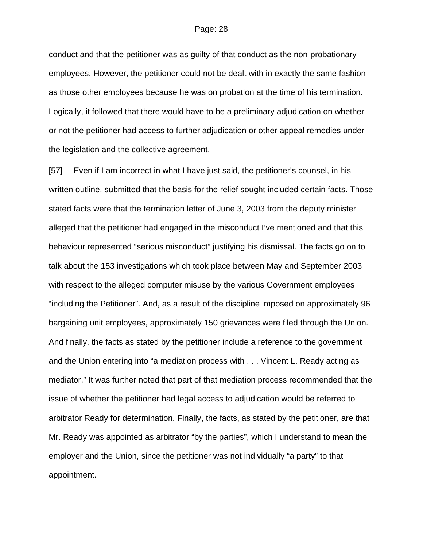conduct and that the petitioner was as guilty of that conduct as the non-probationary employees. However, the petitioner could not be dealt with in exactly the same fashion as those other employees because he was on probation at the time of his termination. Logically, it followed that there would have to be a preliminary adjudication on whether or not the petitioner had access to further adjudication or other appeal remedies under the legislation and the collective agreement.

[57] Even if I am incorrect in what I have just said, the petitioner's counsel, in his written outline, submitted that the basis for the relief sought included certain facts. Those stated facts were that the termination letter of June 3, 2003 from the deputy minister alleged that the petitioner had engaged in the misconduct I've mentioned and that this behaviour represented "serious misconduct" justifying his dismissal. The facts go on to talk about the 153 investigations which took place between May and September 2003 with respect to the alleged computer misuse by the various Government employees "including the Petitioner". And, as a result of the discipline imposed on approximately 96 bargaining unit employees, approximately 150 grievances were filed through the Union. And finally, the facts as stated by the petitioner include a reference to the government and the Union entering into "a mediation process with . . . Vincent L. Ready acting as mediator." It was further noted that part of that mediation process recommended that the issue of whether the petitioner had legal access to adjudication would be referred to arbitrator Ready for determination. Finally, the facts, as stated by the petitioner, are that Mr. Ready was appointed as arbitrator "by the parties", which I understand to mean the employer and the Union, since the petitioner was not individually "a party" to that appointment.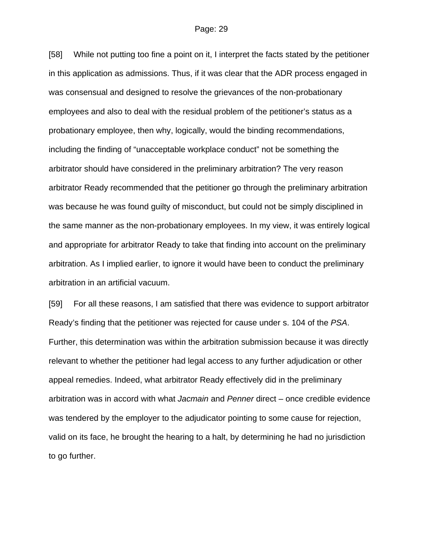[58] While not putting too fine a point on it, I interpret the facts stated by the petitioner in this application as admissions. Thus, if it was clear that the ADR process engaged in was consensual and designed to resolve the grievances of the non-probationary employees and also to deal with the residual problem of the petitioner's status as a probationary employee, then why, logically, would the binding recommendations, including the finding of "unacceptable workplace conduct" not be something the arbitrator should have considered in the preliminary arbitration? The very reason arbitrator Ready recommended that the petitioner go through the preliminary arbitration was because he was found guilty of misconduct, but could not be simply disciplined in the same manner as the non-probationary employees. In my view, it was entirely logical and appropriate for arbitrator Ready to take that finding into account on the preliminary arbitration. As I implied earlier, to ignore it would have been to conduct the preliminary arbitration in an artificial vacuum.

[59] For all these reasons, I am satisfied that there was evidence to support arbitrator Ready's finding that the petitioner was rejected for cause under s. 104 of the *PSA*. Further, this determination was within the arbitration submission because it was directly relevant to whether the petitioner had legal access to any further adjudication or other appeal remedies. Indeed, what arbitrator Ready effectively did in the preliminary arbitration was in accord with what *Jacmain* and *Penner* direct – once credible evidence was tendered by the employer to the adjudicator pointing to some cause for rejection, valid on its face, he brought the hearing to a halt, by determining he had no jurisdiction to go further.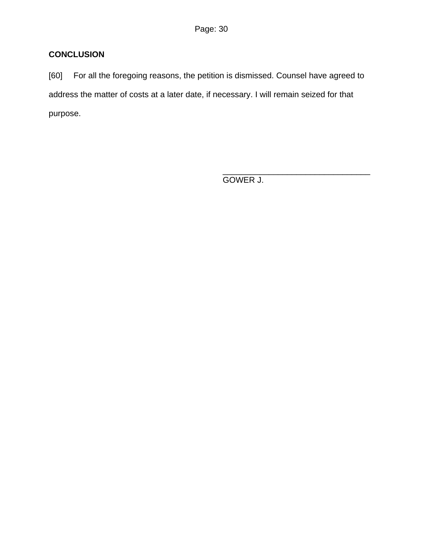# **CONCLUSION**

[60] For all the foregoing reasons, the petition is dismissed. Counsel have agreed to address the matter of costs at a later date, if necessary. I will remain seized for that purpose.

GOWER J.

\_\_\_\_\_\_\_\_\_\_\_\_\_\_\_\_\_\_\_\_\_\_\_\_\_\_\_\_\_\_\_\_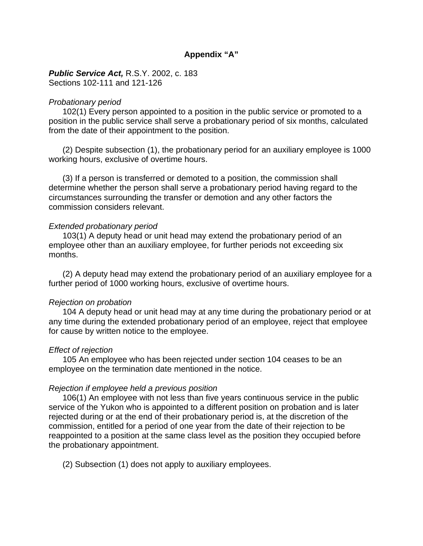# **Appendix "A"**

*Public Service Act,* R.S.Y. 2002, c. 183 Sections 102-111 and 121-126

#### *Probationary period*

 102(1) Every person appointed to a position in the public service or promoted to a position in the public service shall serve a probationary period of six months, calculated from the date of their appointment to the position.

 (2) Despite subsection (1), the probationary period for an auxiliary employee is 1000 working hours, exclusive of overtime hours.

 (3) If a person is transferred or demoted to a position, the commission shall determine whether the person shall serve a probationary period having regard to the circumstances surrounding the transfer or demotion and any other factors the commission considers relevant.

### *Extended probationary period*

 103(1) A deputy head or unit head may extend the probationary period of an employee other than an auxiliary employee, for further periods not exceeding six months.

 (2) A deputy head may extend the probationary period of an auxiliary employee for a further period of 1000 working hours, exclusive of overtime hours.

## *Rejection on probation*

 104 A deputy head or unit head may at any time during the probationary period or at any time during the extended probationary period of an employee, reject that employee for cause by written notice to the employee.

#### *Effect of rejection*

 105 An employee who has been rejected under section 104 ceases to be an employee on the termination date mentioned in the notice.

## *Rejection if employee held a previous position*

 106(1) An employee with not less than five years continuous service in the public service of the Yukon who is appointed to a different position on probation and is later rejected during or at the end of their probationary period is, at the discretion of the commission, entitled for a period of one year from the date of their rejection to be reappointed to a position at the same class level as the position they occupied before the probationary appointment.

(2) Subsection (1) does not apply to auxiliary employees.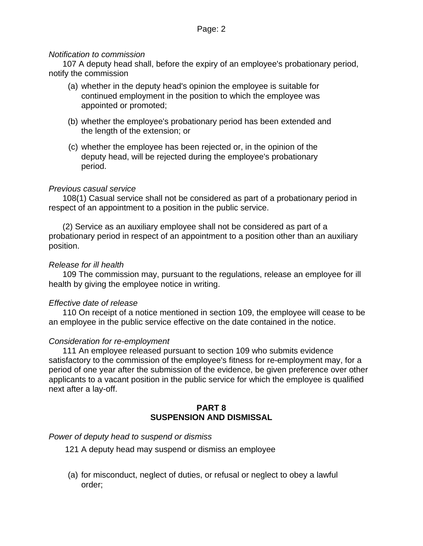# *Notification to commission*

 107 A deputy head shall, before the expiry of an employee's probationary period, notify the commission

- (a) whether in the deputy head's opinion the employee is suitable for continued employment in the position to which the employee was appointed or promoted;
- (b) whether the employee's probationary period has been extended and the length of the extension; or
- (c) whether the employee has been rejected or, in the opinion of the deputy head, will be rejected during the employee's probationary period.

# *Previous casual service*

 108(1) Casual service shall not be considered as part of a probationary period in respect of an appointment to a position in the public service.

 (2) Service as an auxiliary employee shall not be considered as part of a probationary period in respect of an appointment to a position other than an auxiliary position.

# *Release for ill health*

 109 The commission may, pursuant to the regulations, release an employee for ill health by giving the employee notice in writing.

# *Effective date of release*

 110 On receipt of a notice mentioned in section 109, the employee will cease to be an employee in the public service effective on the date contained in the notice.

# *Consideration for re-employment*

 111 An employee released pursuant to section 109 who submits evidence satisfactory to the commission of the employee's fitness for re-employment may, for a period of one year after the submission of the evidence, be given preference over other applicants to a vacant position in the public service for which the employee is qualified next after a lay-off.

# **PART 8 SUSPENSION AND DISMISSAL**

# *Power of deputy head to suspend or dismiss*

- 121 A deputy head may suspend or dismiss an employee
- (a) for misconduct, neglect of duties, or refusal or neglect to obey a lawful order;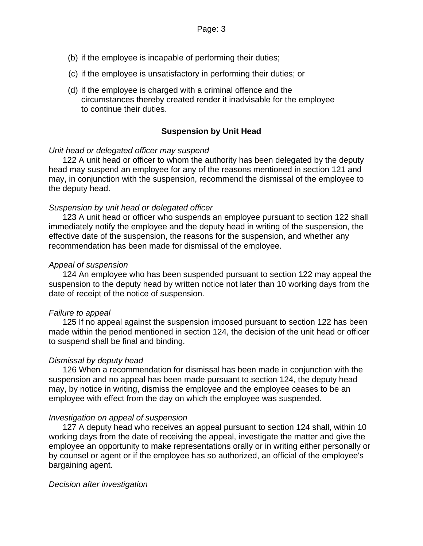- (b) if the employee is incapable of performing their duties;
- (c) if the employee is unsatisfactory in performing their duties; or
- (d) if the employee is charged with a criminal offence and the circumstances thereby created render it inadvisable for the employee to continue their duties.

### **Suspension by Unit Head**

#### *Unit head or delegated officer may suspend*

 122 A unit head or officer to whom the authority has been delegated by the deputy head may suspend an employee for any of the reasons mentioned in section 121 and may, in conjunction with the suspension, recommend the dismissal of the employee to the deputy head.

#### *Suspension by unit head or delegated officer*

 123 A unit head or officer who suspends an employee pursuant to section 122 shall immediately notify the employee and the deputy head in writing of the suspension, the effective date of the suspension, the reasons for the suspension, and whether any recommendation has been made for dismissal of the employee.

#### *Appeal of suspension*

 124 An employee who has been suspended pursuant to section 122 may appeal the suspension to the deputy head by written notice not later than 10 working days from the date of receipt of the notice of suspension.

#### *Failure to appeal*

 125 If no appeal against the suspension imposed pursuant to section 122 has been made within the period mentioned in section 124, the decision of the unit head or officer to suspend shall be final and binding.

#### *Dismissal by deputy head*

 126 When a recommendation for dismissal has been made in conjunction with the suspension and no appeal has been made pursuant to section 124, the deputy head may, by notice in writing, dismiss the employee and the employee ceases to be an employee with effect from the day on which the employee was suspended.

#### *Investigation on appeal of suspension*

 127 A deputy head who receives an appeal pursuant to section 124 shall, within 10 working days from the date of receiving the appeal, investigate the matter and give the employee an opportunity to make representations orally or in writing either personally or by counsel or agent or if the employee has so authorized, an official of the employee's bargaining agent.

#### *Decision after investigation*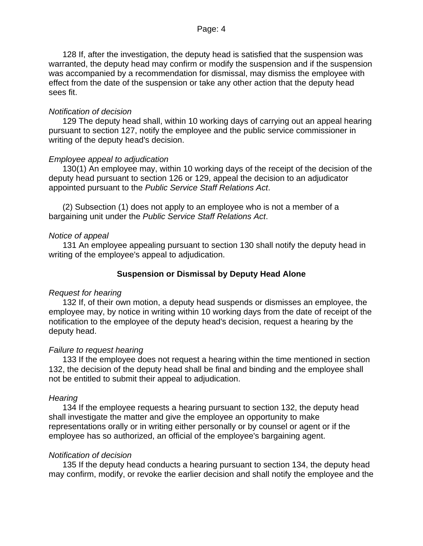128 If, after the investigation, the deputy head is satisfied that the suspension was warranted, the deputy head may confirm or modify the suspension and if the suspension was accompanied by a recommendation for dismissal, may dismiss the employee with effect from the date of the suspension or take any other action that the deputy head sees fit.

# *Notification of decision*

 129 The deputy head shall, within 10 working days of carrying out an appeal hearing pursuant to section 127, notify the employee and the public service commissioner in writing of the deputy head's decision.

# *Employee appeal to adjudication*

 130(1) An employee may, within 10 working days of the receipt of the decision of the deputy head pursuant to section 126 or 129, appeal the decision to an adjudicator appointed pursuant to the *Public Service Staff Relations Act*.

 (2) Subsection (1) does not apply to an employee who is not a member of a bargaining unit under the *Public Service Staff Relations Act*.

# *Notice of appeal*

 131 An employee appealing pursuant to section 130 shall notify the deputy head in writing of the employee's appeal to adjudication.

# **Suspension or Dismissal by Deputy Head Alone**

# *Request for hearing*

 132 If, of their own motion, a deputy head suspends or dismisses an employee, the employee may, by notice in writing within 10 working days from the date of receipt of the notification to the employee of the deputy head's decision, request a hearing by the deputy head.

## *Failure to request hearing*

 133 If the employee does not request a hearing within the time mentioned in section 132, the decision of the deputy head shall be final and binding and the employee shall not be entitled to submit their appeal to adjudication.

## *Hearing*

 134 If the employee requests a hearing pursuant to section 132, the deputy head shall investigate the matter and give the employee an opportunity to make representations orally or in writing either personally or by counsel or agent or if the employee has so authorized, an official of the employee's bargaining agent.

## *Notification of decision*

 135 If the deputy head conducts a hearing pursuant to section 134, the deputy head may confirm, modify, or revoke the earlier decision and shall notify the employee and the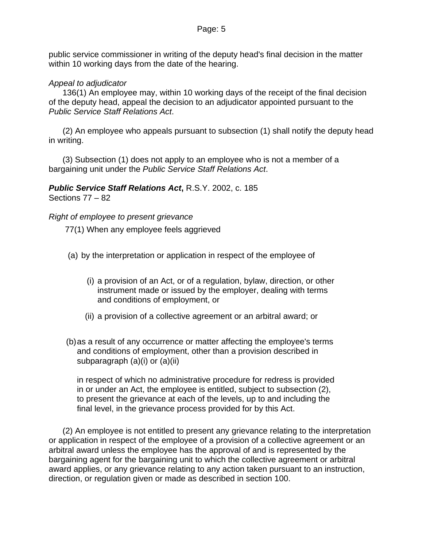public service commissioner in writing of the deputy head's final decision in the matter within 10 working days from the date of the hearing.

# *Appeal to adjudicator*

 136(1) An employee may, within 10 working days of the receipt of the final decision of the deputy head, appeal the decision to an adjudicator appointed pursuant to the *Public Service Staff Relations Act*.

 (2) An employee who appeals pursuant to subsection (1) shall notify the deputy head in writing.

 (3) Subsection (1) does not apply to an employee who is not a member of a bargaining unit under the *Public Service Staff Relations Act*.

*Public Service Staff Relations Act***,** R.S.Y. 2002, c. 185 Sections 77 – 82

# *Right of employee to present grievance*

77(1) When any employee feels aggrieved

- (a) by the interpretation or application in respect of the employee of
	- (i) a provision of an Act, or of a regulation, bylaw, direction, or other instrument made or issued by the employer, dealing with terms and conditions of employment, or
	- (ii) a provision of a collective agreement or an arbitral award; or
- (b)as a result of any occurrence or matter affecting the employee's terms and conditions of employment, other than a provision described in subparagraph (a)(i) or (a)(ii)

in respect of which no administrative procedure for redress is provided in or under an Act, the employee is entitled, subject to subsection (2), to present the grievance at each of the levels, up to and including the final level, in the grievance process provided for by this Act.

 (2) An employee is not entitled to present any grievance relating to the interpretation or application in respect of the employee of a provision of a collective agreement or an arbitral award unless the employee has the approval of and is represented by the bargaining agent for the bargaining unit to which the collective agreement or arbitral award applies, or any grievance relating to any action taken pursuant to an instruction, direction, or regulation given or made as described in section 100.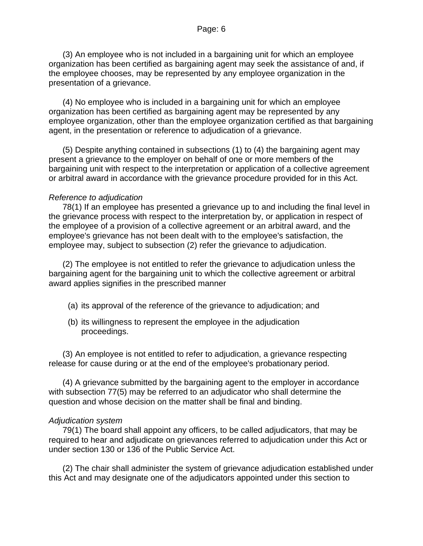(3) An employee who is not included in a bargaining unit for which an employee organization has been certified as bargaining agent may seek the assistance of and, if the employee chooses, may be represented by any employee organization in the presentation of a grievance.

 (4) No employee who is included in a bargaining unit for which an employee organization has been certified as bargaining agent may be represented by any employee organization, other than the employee organization certified as that bargaining agent, in the presentation or reference to adjudication of a grievance.

 (5) Despite anything contained in subsections (1) to (4) the bargaining agent may present a grievance to the employer on behalf of one or more members of the bargaining unit with respect to the interpretation or application of a collective agreement or arbitral award in accordance with the grievance procedure provided for in this Act.

# *Reference to adjudication*

 78(1) If an employee has presented a grievance up to and including the final level in the grievance process with respect to the interpretation by, or application in respect of the employee of a provision of a collective agreement or an arbitral award, and the employee's grievance has not been dealt with to the employee's satisfaction, the employee may, subject to subsection (2) refer the grievance to adjudication.

 (2) The employee is not entitled to refer the grievance to adjudication unless the bargaining agent for the bargaining unit to which the collective agreement or arbitral award applies signifies in the prescribed manner

- (a) its approval of the reference of the grievance to adjudication; and
- (b) its willingness to represent the employee in the adjudication proceedings.

 (3) An employee is not entitled to refer to adjudication, a grievance respecting release for cause during or at the end of the employee's probationary period.

 (4) A grievance submitted by the bargaining agent to the employer in accordance with subsection 77(5) may be referred to an adjudicator who shall determine the question and whose decision on the matter shall be final and binding.

# *Adjudication system*

 79(1) The board shall appoint any officers, to be called adjudicators, that may be required to hear and adjudicate on grievances referred to adjudication under this Act or under section 130 or 136 of the Public Service Act.

 (2) The chair shall administer the system of grievance adjudication established under this Act and may designate one of the adjudicators appointed under this section to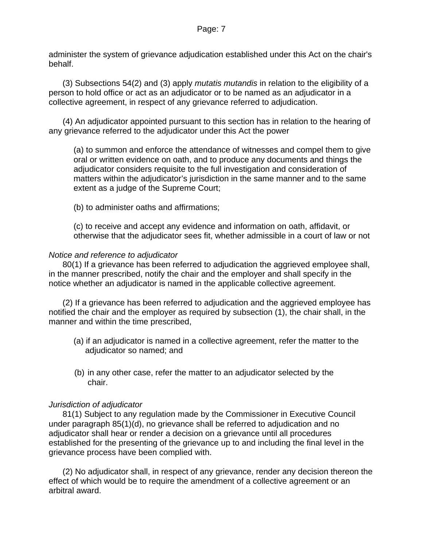administer the system of grievance adjudication established under this Act on the chair's behalf.

 (3) Subsections 54(2) and (3) apply *mutatis mutandis* in relation to the eligibility of a person to hold office or act as an adjudicator or to be named as an adjudicator in a collective agreement, in respect of any grievance referred to adjudication.

 (4) An adjudicator appointed pursuant to this section has in relation to the hearing of any grievance referred to the adjudicator under this Act the power

 (a) to summon and enforce the attendance of witnesses and compel them to give oral or written evidence on oath, and to produce any documents and things the adjudicator considers requisite to the full investigation and consideration of matters within the adjudicator's jurisdiction in the same manner and to the same extent as a judge of the Supreme Court;

(b) to administer oaths and affirmations;

 (c) to receive and accept any evidence and information on oath, affidavit, or otherwise that the adjudicator sees fit, whether admissible in a court of law or not

# *Notice and reference to adjudicator*

 80(1) If a grievance has been referred to adjudication the aggrieved employee shall, in the manner prescribed, notify the chair and the employer and shall specify in the notice whether an adjudicator is named in the applicable collective agreement.

 (2) If a grievance has been referred to adjudication and the aggrieved employee has notified the chair and the employer as required by subsection (1), the chair shall, in the manner and within the time prescribed,

- (a) if an adjudicator is named in a collective agreement, refer the matter to the adjudicator so named; and
- (b) in any other case, refer the matter to an adjudicator selected by the chair.

# *Jurisdiction of adjudicator*

 81(1) Subject to any regulation made by the Commissioner in Executive Council under paragraph 85(1)(d), no grievance shall be referred to adjudication and no adjudicator shall hear or render a decision on a grievance until all procedures established for the presenting of the grievance up to and including the final level in the grievance process have been complied with.

 (2) No adjudicator shall, in respect of any grievance, render any decision thereon the effect of which would be to require the amendment of a collective agreement or an arbitral award.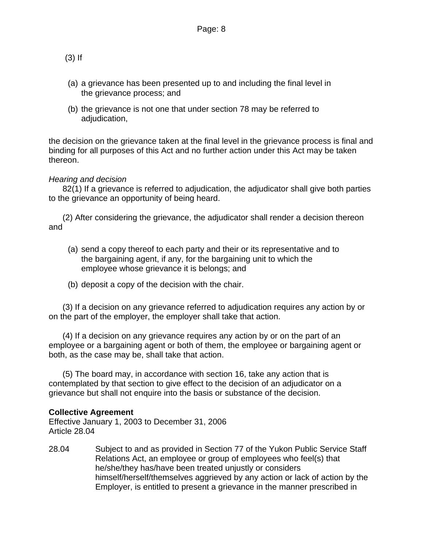(3) If

- (a) a grievance has been presented up to and including the final level in the grievance process; and
- (b) the grievance is not one that under section 78 may be referred to adjudication,

the decision on the grievance taken at the final level in the grievance process is final and binding for all purposes of this Act and no further action under this Act may be taken thereon.

# *Hearing and decision*

 82(1) If a grievance is referred to adjudication, the adjudicator shall give both parties to the grievance an opportunity of being heard.

 (2) After considering the grievance, the adjudicator shall render a decision thereon and

- (a) send a copy thereof to each party and their or its representative and to the bargaining agent, if any, for the bargaining unit to which the employee whose grievance it is belongs; and
- (b) deposit a copy of the decision with the chair.

 (3) If a decision on any grievance referred to adjudication requires any action by or on the part of the employer, the employer shall take that action.

 (4) If a decision on any grievance requires any action by or on the part of an employee or a bargaining agent or both of them, the employee or bargaining agent or both, as the case may be, shall take that action.

 (5) The board may, in accordance with section 16, take any action that is contemplated by that section to give effect to the decision of an adjudicator on a grievance but shall not enquire into the basis or substance of the decision.

# **Collective Agreement**

Effective January 1, 2003 to December 31, 2006 Article 28.04

28.04 Subject to and as provided in Section 77 of the Yukon Public Service Staff Relations Act, an employee or group of employees who feel(s) that he/she/they has/have been treated unjustly or considers himself/herself/themselves aggrieved by any action or lack of action by the Employer, is entitled to present a grievance in the manner prescribed in